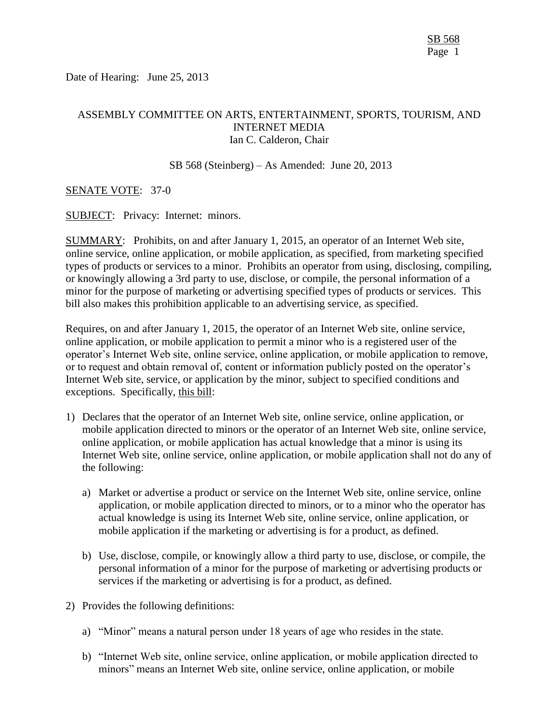Date of Hearing: June 25, 2013

# ASSEMBLY COMMITTEE ON ARTS, ENTERTAINMENT, SPORTS, TOURISM, AND INTERNET MEDIA Ian C. Calderon, Chair

SB 568 (Steinberg) – As Amended: June 20, 2013

### SENATE VOTE: 37-0

SUBJECT: Privacy: Internet: minors.

SUMMARY: Prohibits, on and after January 1, 2015, an operator of an Internet Web site, online service, online application, or mobile application, as specified, from marketing specified types of products or services to a minor. Prohibits an operator from using, disclosing, compiling, or knowingly allowing a 3rd party to use, disclose, or compile, the personal information of a minor for the purpose of marketing or advertising specified types of products or services. This bill also makes this prohibition applicable to an advertising service, as specified.

Requires, on and after January 1, 2015, the operator of an Internet Web site, online service, online application, or mobile application to permit a minor who is a registered user of the operator's Internet Web site, online service, online application, or mobile application to remove, or to request and obtain removal of, content or information publicly posted on the operator's Internet Web site, service, or application by the minor, subject to specified conditions and exceptions. Specifically, this bill:

- 1) Declares that the operator of an Internet Web site, online service, online application, or mobile application directed to minors or the operator of an Internet Web site, online service, online application, or mobile application has actual knowledge that a minor is using its Internet Web site, online service, online application, or mobile application shall not do any of the following:
	- a) Market or advertise a product or service on the Internet Web site, online service, online application, or mobile application directed to minors, or to a minor who the operator has actual knowledge is using its Internet Web site, online service, online application, or mobile application if the marketing or advertising is for a product, as defined.
	- b) Use, disclose, compile, or knowingly allow a third party to use, disclose, or compile, the personal information of a minor for the purpose of marketing or advertising products or services if the marketing or advertising is for a product, as defined.
- 2) Provides the following definitions:
	- a) "Minor" means a natural person under 18 years of age who resides in the state.
	- b) "Internet Web site, online service, online application, or mobile application directed to minors" means an Internet Web site, online service, online application, or mobile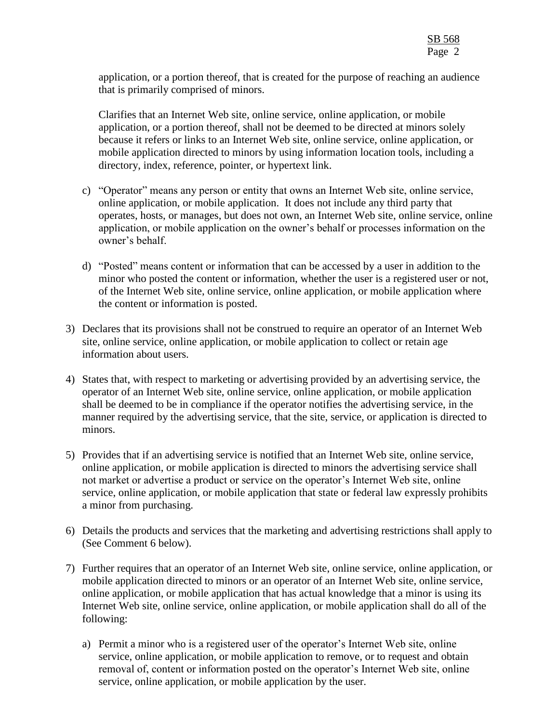application, or a portion thereof, that is created for the purpose of reaching an audience that is primarily comprised of minors.

Clarifies that an Internet Web site, online service, online application, or mobile application, or a portion thereof, shall not be deemed to be directed at minors solely because it refers or links to an Internet Web site, online service, online application, or mobile application directed to minors by using information location tools, including a directory, index, reference, pointer, or hypertext link.

- c) "Operator" means any person or entity that owns an Internet Web site, online service, online application, or mobile application. It does not include any third party that operates, hosts, or manages, but does not own, an Internet Web site, online service, online application, or mobile application on the owner's behalf or processes information on the owner's behalf.
- d) "Posted" means content or information that can be accessed by a user in addition to the minor who posted the content or information, whether the user is a registered user or not, of the Internet Web site, online service, online application, or mobile application where the content or information is posted.
- 3) Declares that its provisions shall not be construed to require an operator of an Internet Web site, online service, online application, or mobile application to collect or retain age information about users.
- 4) States that, with respect to marketing or advertising provided by an advertising service, the operator of an Internet Web site, online service, online application, or mobile application shall be deemed to be in compliance if the operator notifies the advertising service, in the manner required by the advertising service, that the site, service, or application is directed to minors.
- 5) Provides that if an advertising service is notified that an Internet Web site, online service, online application, or mobile application is directed to minors the advertising service shall not market or advertise a product or service on the operator's Internet Web site, online service, online application, or mobile application that state or federal law expressly prohibits a minor from purchasing.
- 6) Details the products and services that the marketing and advertising restrictions shall apply to (See Comment 6 below).
- 7) Further requires that an operator of an Internet Web site, online service, online application, or mobile application directed to minors or an operator of an Internet Web site, online service, online application, or mobile application that has actual knowledge that a minor is using its Internet Web site, online service, online application, or mobile application shall do all of the following:
	- a) Permit a minor who is a registered user of the operator's Internet Web site, online service, online application, or mobile application to remove, or to request and obtain removal of, content or information posted on the operator's Internet Web site, online service, online application, or mobile application by the user.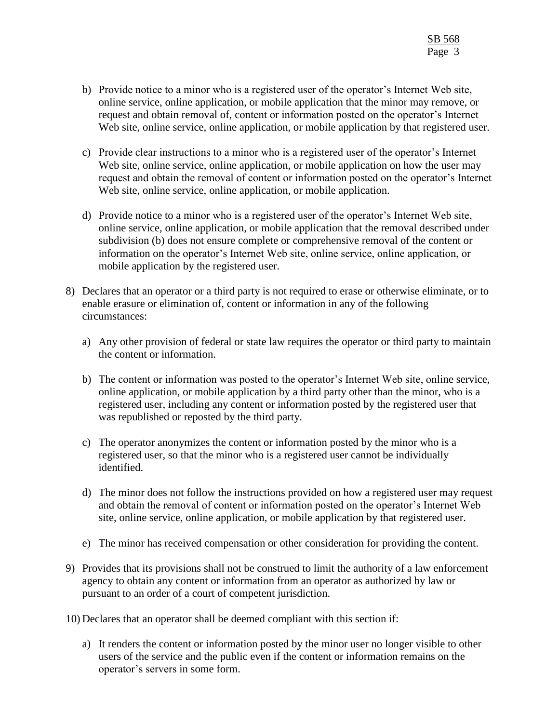- b) Provide notice to a minor who is a registered user of the operator's Internet Web site, online service, online application, or mobile application that the minor may remove, or request and obtain removal of, content or information posted on the operator's Internet Web site, online service, online application, or mobile application by that registered user.
- c) Provide clear instructions to a minor who is a registered user of the operator's Internet Web site, online service, online application, or mobile application on how the user may request and obtain the removal of content or information posted on the operator's Internet Web site, online service, online application, or mobile application.
- d) Provide notice to a minor who is a registered user of the operator's Internet Web site, online service, online application, or mobile application that the removal described under subdivision (b) does not ensure complete or comprehensive removal of the content or information on the operator's Internet Web site, online service, online application, or mobile application by the registered user.
- 8) Declares that an operator or a third party is not required to erase or otherwise eliminate, or to enable erasure or elimination of, content or information in any of the following circumstances:
	- a) Any other provision of federal or state law requires the operator or third party to maintain the content or information.
	- b) The content or information was posted to the operator's Internet Web site, online service, online application, or mobile application by a third party other than the minor, who is a registered user, including any content or information posted by the registered user that was republished or reposted by the third party.
	- c) The operator anonymizes the content or information posted by the minor who is a registered user, so that the minor who is a registered user cannot be individually identified.
	- d) The minor does not follow the instructions provided on how a registered user may request and obtain the removal of content or information posted on the operator's Internet Web site, online service, online application, or mobile application by that registered user.
	- e) The minor has received compensation or other consideration for providing the content.
- 9) Provides that its provisions shall not be construed to limit the authority of a law enforcement agency to obtain any content or information from an operator as authorized by law or pursuant to an order of a court of competent jurisdiction.
- 10) Declares that an operator shall be deemed compliant with this section if:
	- a) It renders the content or information posted by the minor user no longer visible to other users of the service and the public even if the content or information remains on the operator's servers in some form.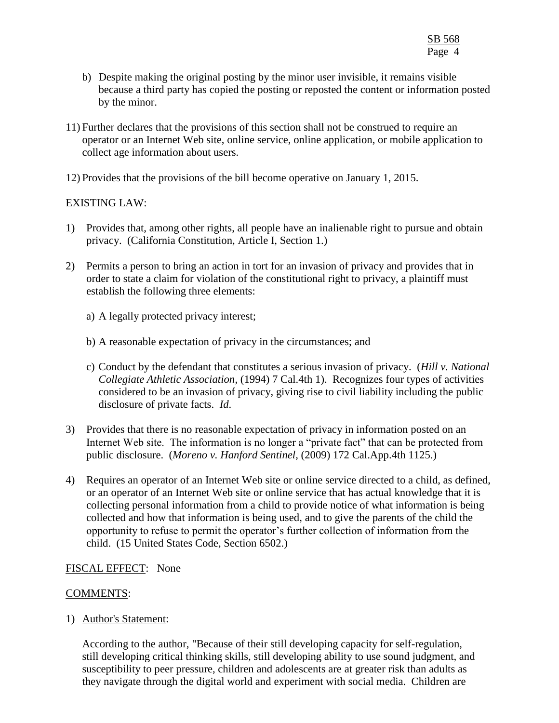- b) Despite making the original posting by the minor user invisible, it remains visible because a third party has copied the posting or reposted the content or information posted by the minor.
- 11) Further declares that the provisions of this section shall not be construed to require an operator or an Internet Web site, online service, online application, or mobile application to collect age information about users.
- 12) Provides that the provisions of the bill become operative on January 1, 2015.

## EXISTING LAW:

- 1) Provides that, among other rights, all people have an inalienable right to pursue and obtain privacy. (California Constitution, Article I, Section 1.)
- 2) Permits a person to bring an action in tort for an invasion of privacy and provides that in order to state a claim for violation of the constitutional right to privacy, a plaintiff must establish the following three elements:
	- a) A legally protected privacy interest;
	- b) A reasonable expectation of privacy in the circumstances; and
	- c) Conduct by the defendant that constitutes a serious invasion of privacy. (*Hill v. National Collegiate Athletic Association*, (1994) 7 Cal.4th 1).Recognizes four types of activities considered to be an invasion of privacy, giving rise to civil liability including the public disclosure of private facts. *Id*.
- 3) Provides that there is no reasonable expectation of privacy in information posted on an Internet Web site. The information is no longer a "private fact" that can be protected from public disclosure. (*Moreno v. Hanford Sentinel*, (2009) 172 Cal.App.4th 1125.)
- 4) Requires an operator of an Internet Web site or online service directed to a child, as defined, or an operator of an Internet Web site or online service that has actual knowledge that it is collecting personal information from a child to provide notice of what information is being collected and how that information is being used, and to give the parents of the child the opportunity to refuse to permit the operator's further collection of information from the child. (15 United States Code, Section 6502.)

# FISCAL EFFECT: None

### COMMENTS:

1) Author's Statement:

According to the author, "Because of their still developing capacity for self-regulation, still developing critical thinking skills, still developing ability to use sound judgment, and susceptibility to peer pressure, children and adolescents are at greater risk than adults as they navigate through the digital world and experiment with social media. Children are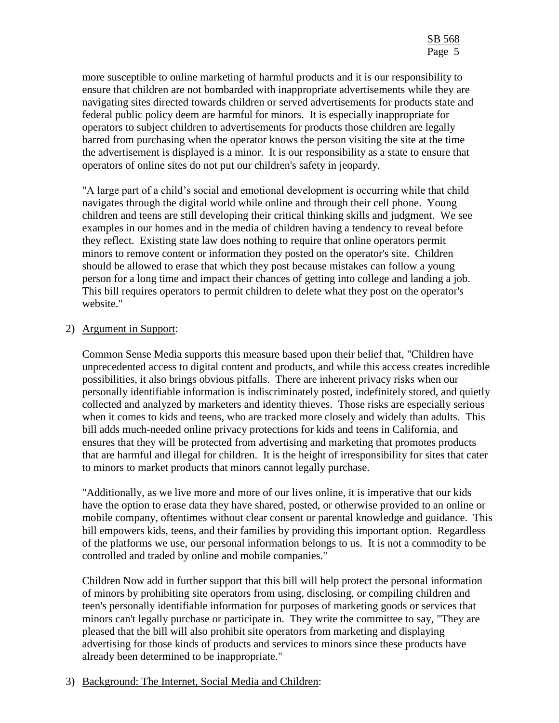more susceptible to online marketing of harmful products and it is our responsibility to ensure that children are not bombarded with inappropriate advertisements while they are navigating sites directed towards children or served advertisements for products state and federal public policy deem are harmful for minors. It is especially inappropriate for operators to subject children to advertisements for products those children are legally barred from purchasing when the operator knows the person visiting the site at the time the advertisement is displayed is a minor. It is our responsibility as a state to ensure that operators of online sites do not put our children's safety in jeopardy.

"A large part of a child's social and emotional development is occurring while that child navigates through the digital world while online and through their cell phone. Young children and teens are still developing their critical thinking skills and judgment. We see examples in our homes and in the media of children having a tendency to reveal before they reflect. Existing state law does nothing to require that online operators permit minors to remove content or information they posted on the operator's site. Children should be allowed to erase that which they post because mistakes can follow a young person for a long time and impact their chances of getting into college and landing a job. This bill requires operators to permit children to delete what they post on the operator's website."

### 2) Argument in Support:

Common Sense Media supports this measure based upon their belief that, "Children have unprecedented access to digital content and products, and while this access creates incredible possibilities, it also brings obvious pitfalls. There are inherent privacy risks when our personally identifiable information is indiscriminately posted, indefinitely stored, and quietly collected and analyzed by marketers and identity thieves. Those risks are especially serious when it comes to kids and teens, who are tracked more closely and widely than adults. This bill adds much-needed online privacy protections for kids and teens in California, and ensures that they will be protected from advertising and marketing that promotes products that are harmful and illegal for children. It is the height of irresponsibility for sites that cater to minors to market products that minors cannot legally purchase.

"Additionally, as we live more and more of our lives online, it is imperative that our kids have the option to erase data they have shared, posted, or otherwise provided to an online or mobile company, oftentimes without clear consent or parental knowledge and guidance. This bill empowers kids, teens, and their families by providing this important option. Regardless of the platforms we use, our personal information belongs to us. It is not a commodity to be controlled and traded by online and mobile companies."

Children Now add in further support that this bill will help protect the personal information of minors by prohibiting site operators from using, disclosing, or compiling children and teen's personally identifiable information for purposes of marketing goods or services that minors can't legally purchase or participate in. They write the committee to say, "They are pleased that the bill will also prohibit site operators from marketing and displaying advertising for those kinds of products and services to minors since these products have already been determined to be inappropriate."

### 3) Background: The Internet, Social Media and Children: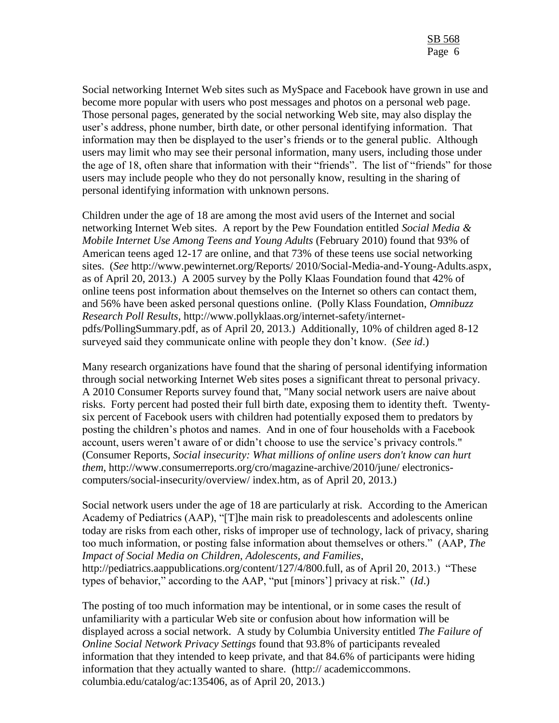Social networking Internet Web sites such as MySpace and Facebook have grown in use and become more popular with users who post messages and photos on a personal web page. Those personal pages, generated by the social networking Web site, may also display the user's address, phone number, birth date, or other personal identifying information. That information may then be displayed to the user's friends or to the general public. Although users may limit who may see their personal information, many users, including those under the age of 18, often share that information with their "friends". The list of "friends" for those users may include people who they do not personally know, resulting in the sharing of personal identifying information with unknown persons.

Children under the age of 18 are among the most avid users of the Internet and social networking Internet Web sites. A report by the Pew Foundation entitled *Social Media & Mobile Internet Use Among Teens and Young Adults* (February 2010) found that 93% of American teens aged 12-17 are online, and that 73% of these teens use social networking sites. (*See* http://www.pewinternet.org/Reports/ 2010/Social-Media-and-Young-Adults.aspx, as of April 20, 2013.) A 2005 survey by the Polly Klaas Foundation found that 42% of online teens post information about themselves on the Internet so others can contact them, and 56% have been asked personal questions online. (Polly Klass Foundation, *Omnibuzz Research Poll Results*, http://www.pollyklaas.org/internet-safety/internetpdfs/PollingSummary.pdf, as of April 20, 2013.) Additionally, 10% of children aged 8-12 surveyed said they communicate online with people they don't know. (*See id*.)

Many research organizations have found that the sharing of personal identifying information through social networking Internet Web sites poses a significant threat to personal privacy. A 2010 Consumer Reports survey found that, "Many social network users are naive about risks. Forty percent had posted their full birth date, exposing them to identity theft. Twentysix percent of Facebook users with children had potentially exposed them to predators by posting the children's photos and names. And in one of four households with a Facebook account, users weren't aware of or didn't choose to use the service's privacy controls." (Consumer Reports, *Social insecurity: What millions of online users don't know can hurt them*, http://www.consumerreports.org/cro/magazine-archive/2010/june/ electronicscomputers/social-insecurity/overview/ index.htm, as of April 20, 2013.)

Social network users under the age of 18 are particularly at risk. According to the American Academy of Pediatrics (AAP), "[T]he main risk to preadolescents and adolescents online today are risks from each other, risks of improper use of technology, lack of privacy, sharing too much information, or posting false information about themselves or others." (AAP*, The Impact of Social Media on Children, Adolescents, and Families*, http://pediatrics.aappublications.org/content/127/4/800.full, as of April 20, 2013.) "These types of behavior," according to the AAP, "put [minors'] privacy at risk." (*Id*.)

The posting of too much information may be intentional, or in some cases the result of unfamiliarity with a particular Web site or confusion about how information will be displayed across a social network. A study by Columbia University entitled *The Failure of Online Social Network Privacy Settings* found that 93.8% of participants revealed information that they intended to keep private, and that 84.6% of participants were hiding information that they actually wanted to share. (http:// academiccommons. columbia.edu/catalog/ac:135406, as of April 20, 2013.)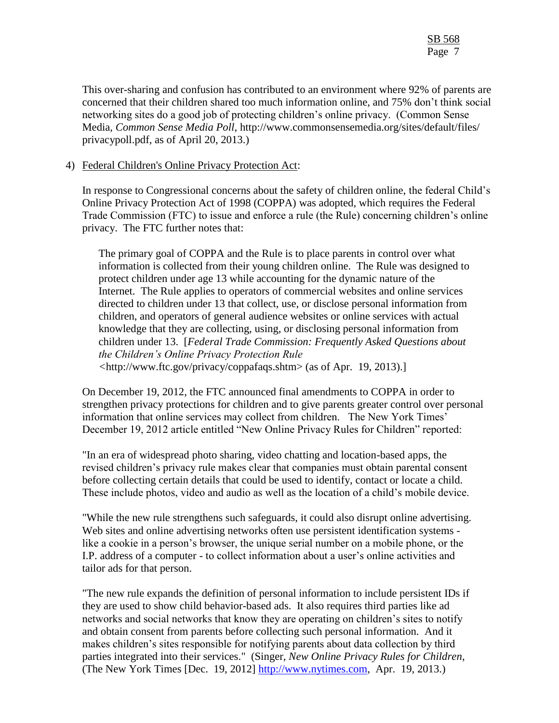This over-sharing and confusion has contributed to an environment where 92% of parents are concerned that their children shared too much information online, and 75% don't think social networking sites do a good job of protecting children's online privacy. (Common Sense Media, *Common Sense Media Poll*, http://www.commonsensemedia.org/sites/default/files/ privacypoll.pdf, as of April 20, 2013.)

## 4) Federal Children's Online Privacy Protection Act:

In response to Congressional concerns about the safety of children online, the federal Child's Online Privacy Protection Act of 1998 (COPPA) was adopted, which requires the Federal Trade Commission (FTC) to issue and enforce a rule (the Rule) concerning children's online privacy. The FTC further notes that:

The primary goal of COPPA and the Rule is to place parents in control over what information is collected from their young children online. The Rule was designed to protect children under age 13 while accounting for the dynamic nature of the Internet. The Rule applies to operators of commercial websites and online services directed to children under 13 that collect, use, or disclose personal information from children, and operators of general audience websites or online services with actual knowledge that they are collecting, using, or disclosing personal information from children under 13. [*Federal Trade Commission: Frequently Asked Questions about the Children's Online Privacy Protection Rule <*http://www.ftc.gov/privacy/coppafaqs.shtm> (as of Apr. 19, 2013).]

On December 19, 2012, the FTC announced final amendments to COPPA in order to strengthen privacy protections for children and to give parents greater control over personal information that online services may collect from children. The New York Times' December 19, 2012 article entitled "New Online Privacy Rules for Children" reported:

"In an era of widespread photo sharing, video chatting and location-based apps, the revised children's privacy rule makes clear that companies must obtain parental consent before collecting certain details that could be used to identify, contact or locate a child. These include photos, video and audio as well as the location of a child's mobile device.

"While the new rule strengthens such safeguards, it could also disrupt online advertising. Web sites and online advertising networks often use persistent identification systems like a cookie in a person's browser, the unique serial number on a mobile phone, or the I.P. address of a computer - to collect information about a user's online activities and tailor ads for that person.

"The new rule expands the definition of personal information to include persistent IDs if they are used to show child behavior-based ads. It also requires third parties like ad networks and social networks that know they are operating on children's sites to notify and obtain consent from parents before collecting such personal information. And it makes children's sites responsible for notifying parents about data collection by third parties integrated into their services." (Singer, *New Online Privacy Rules for Children*, (The New York Times [Dec. 19, 2012] [http://www.nytimes.com,](http://www.nytimes.com/) Apr. 19, 2013.)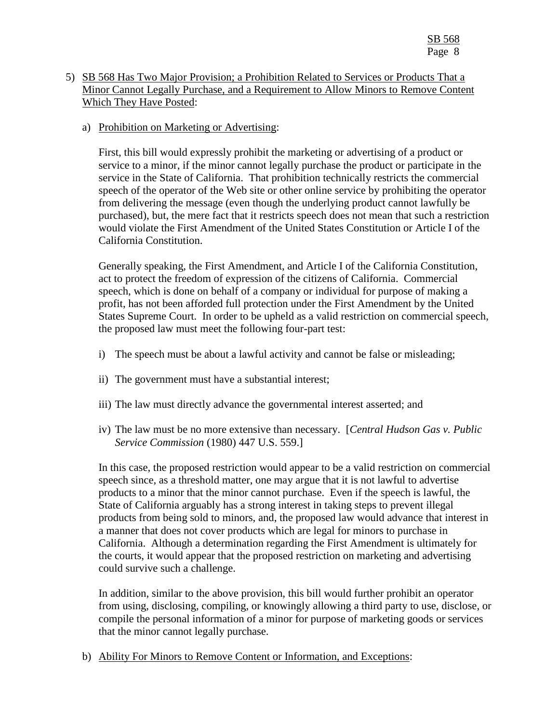## 5) SB 568 Has Two Major Provision; a Prohibition Related to Services or Products That a Minor Cannot Legally Purchase, and a Requirement to Allow Minors to Remove Content Which They Have Posted:

### a) Prohibition on Marketing or Advertising:

First, this bill would expressly prohibit the marketing or advertising of a product or service to a minor, if the minor cannot legally purchase the product or participate in the service in the State of California. That prohibition technically restricts the commercial speech of the operator of the Web site or other online service by prohibiting the operator from delivering the message (even though the underlying product cannot lawfully be purchased), but, the mere fact that it restricts speech does not mean that such a restriction would violate the First Amendment of the United States Constitution or Article I of the California Constitution.

Generally speaking, the First Amendment, and Article I of the California Constitution, act to protect the freedom of expression of the citizens of California. Commercial speech, which is done on behalf of a company or individual for purpose of making a profit, has not been afforded full protection under the First Amendment by the United States Supreme Court. In order to be upheld as a valid restriction on commercial speech, the proposed law must meet the following four-part test:

- i) The speech must be about a lawful activity and cannot be false or misleading;
- ii) The government must have a substantial interest;
- iii) The law must directly advance the governmental interest asserted; and
- iv) The law must be no more extensive than necessary. [*Central Hudson Gas v. Public Service Commission* (1980) 447 U.S. 559.]

In this case, the proposed restriction would appear to be a valid restriction on commercial speech since, as a threshold matter, one may argue that it is not lawful to advertise products to a minor that the minor cannot purchase. Even if the speech is lawful, the State of California arguably has a strong interest in taking steps to prevent illegal products from being sold to minors, and, the proposed law would advance that interest in a manner that does not cover products which are legal for minors to purchase in California. Although a determination regarding the First Amendment is ultimately for the courts, it would appear that the proposed restriction on marketing and advertising could survive such a challenge.

In addition, similar to the above provision, this bill would further prohibit an operator from using, disclosing, compiling, or knowingly allowing a third party to use, disclose, or compile the personal information of a minor for purpose of marketing goods or services that the minor cannot legally purchase.

b) Ability For Minors to Remove Content or Information, and Exceptions: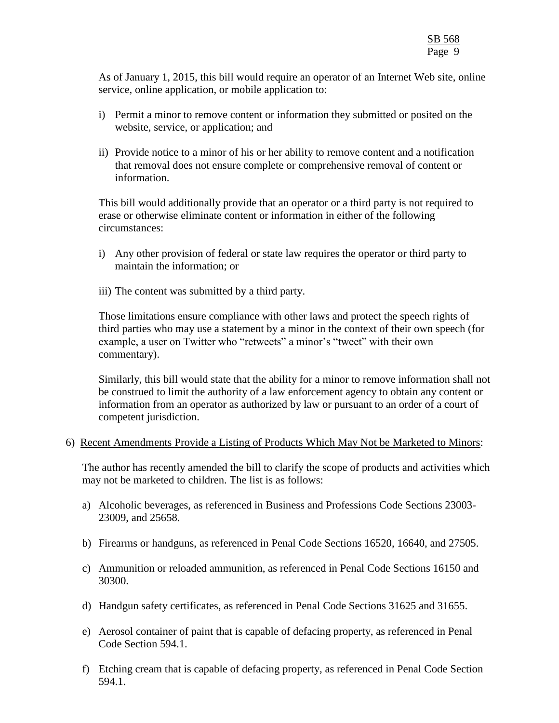As of January 1, 2015, this bill would require an operator of an Internet Web site, online service, online application, or mobile application to:

- i) Permit a minor to remove content or information they submitted or posited on the website, service, or application; and
- ii) Provide notice to a minor of his or her ability to remove content and a notification that removal does not ensure complete or comprehensive removal of content or information.

This bill would additionally provide that an operator or a third party is not required to erase or otherwise eliminate content or information in either of the following circumstances:

- i) Any other provision of federal or state law requires the operator or third party to maintain the information; or
- iii) The content was submitted by a third party.

Those limitations ensure compliance with other laws and protect the speech rights of third parties who may use a statement by a minor in the context of their own speech (for example, a user on Twitter who "retweets" a minor's "tweet" with their own commentary).

Similarly, this bill would state that the ability for a minor to remove information shall not be construed to limit the authority of a law enforcement agency to obtain any content or information from an operator as authorized by law or pursuant to an order of a court of competent jurisdiction.

### 6) Recent Amendments Provide a Listing of Products Which May Not be Marketed to Minors:

The author has recently amended the bill to clarify the scope of products and activities which may not be marketed to children. The list is as follows:

- a) Alcoholic beverages, as referenced in Business and Professions Code Sections 23003- 23009, and 25658.
- b) Firearms or handguns, as referenced in Penal Code Sections 16520, 16640, and 27505.
- c) Ammunition or reloaded ammunition, as referenced in Penal Code Sections 16150 and 30300.
- d) Handgun safety certificates, as referenced in Penal Code Sections 31625 and 31655.
- e) Aerosol container of paint that is capable of defacing property, as referenced in Penal Code Section 594.1.
- f) Etching cream that is capable of defacing property, as referenced in Penal Code Section 594.1.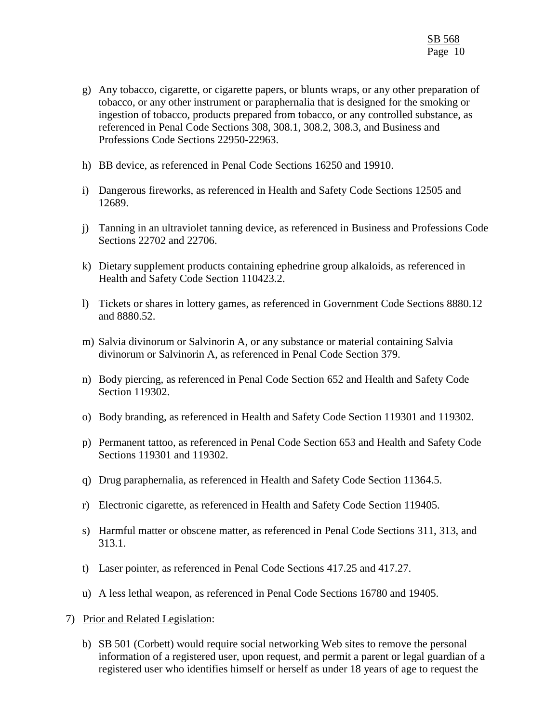- g) Any tobacco, cigarette, or cigarette papers, or blunts wraps, or any other preparation of tobacco, or any other instrument or paraphernalia that is designed for the smoking or ingestion of tobacco, products prepared from tobacco, or any controlled substance, as referenced in Penal Code Sections 308, 308.1, 308.2, 308.3, and Business and Professions Code Sections 22950-22963.
- h) BB device, as referenced in Penal Code Sections 16250 and 19910.
- i) Dangerous fireworks, as referenced in Health and Safety Code Sections 12505 and 12689.
- j) Tanning in an ultraviolet tanning device, as referenced in Business and Professions Code Sections 22702 and 22706.
- k) Dietary supplement products containing ephedrine group alkaloids, as referenced in Health and Safety Code Section 110423.2.
- l) Tickets or shares in lottery games, as referenced in Government Code Sections 8880.12 and 8880.52.
- m) Salvia divinorum or Salvinorin A, or any substance or material containing Salvia divinorum or Salvinorin A, as referenced in Penal Code Section 379.
- n) Body piercing, as referenced in Penal Code Section 652 and Health and Safety Code Section 119302.
- o) Body branding, as referenced in Health and Safety Code Section 119301 and 119302.
- p) Permanent tattoo, as referenced in Penal Code Section 653 and Health and Safety Code Sections 119301 and 119302.
- q) Drug paraphernalia, as referenced in Health and Safety Code Section 11364.5.
- r) Electronic cigarette, as referenced in Health and Safety Code Section 119405.
- s) Harmful matter or obscene matter, as referenced in Penal Code Sections 311, 313, and 313.1.
- t) Laser pointer, as referenced in Penal Code Sections 417.25 and 417.27.
- u) A less lethal weapon, as referenced in Penal Code Sections 16780 and 19405.
- 7) Prior and Related Legislation:
	- b) SB 501 (Corbett) would require social networking Web sites to remove the personal information of a registered user, upon request, and permit a parent or legal guardian of a registered user who identifies himself or herself as under 18 years of age to request the